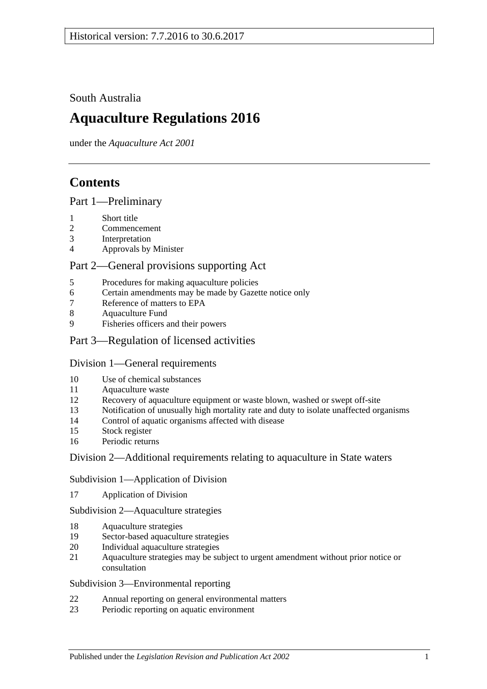South Australia

# **Aquaculture Regulations 2016**

under the *Aquaculture Act 2001*

## **Contents**

#### Part [1—Preliminary](#page-2-0)

- [Short title](#page-2-1)
- [Commencement](#page-2-2)
- [Interpretation](#page-2-3)
- [Approvals by Minister](#page-3-0)

## Part [2—General provisions supporting Act](#page-3-1)

- [Procedures for making aquaculture policies](#page-3-2)
- [Certain amendments may be made by Gazette notice only](#page-4-0)
- [Reference of matters to EPA](#page-4-1)
- [Aquaculture Fund](#page-4-2)
- [Fisheries officers and](#page-4-3) their powers

## Part [3—Regulation of licensed activities](#page-5-0)

#### Division [1—General requirements](#page-5-1)

- [Use of chemical substances](#page-5-2)
- [Aquaculture waste](#page-5-3)
- [Recovery of aquaculture equipment or waste blown, washed or swept off-site](#page-6-0)
- [Notification of unusually high mortality rate and duty to isolate unaffected organisms](#page-6-1)
- [Control of aquatic organisms affected with disease](#page-7-0)
- [Stock register](#page-7-1)
- [Periodic returns](#page-9-0)

#### Division [2—Additional requirements relating to aquaculture in State waters](#page-9-1)

#### Subdivision [1—Application of Division](#page-9-2)

[Application of Division](#page-9-3)

Subdivision [2—Aquaculture strategies](#page-10-0)

- [Aquaculture strategies](#page-10-1)
- [Sector-based aquaculture strategies](#page-10-2)
- [Individual aquaculture strategies](#page-11-0)
- [Aquaculture strategies may be subject to urgent amendment without prior notice or](#page-11-1)  [consultation](#page-11-1)

#### Subdivision [3—Environmental reporting](#page-12-0)

- [Annual reporting on general environmental matters](#page-12-1)
- [Periodic reporting on aquatic environment](#page-12-2)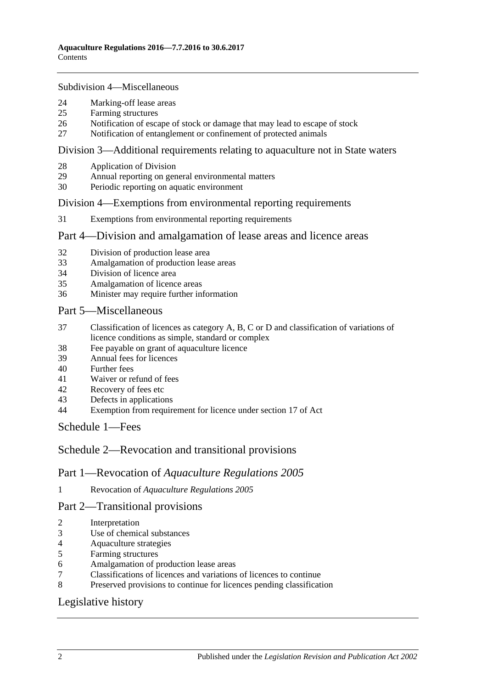Subdivision [4—Miscellaneous](#page-13-0)

- [Marking-off lease areas](#page-13-1)
- [Farming structures](#page-13-2)
- [Notification of escape of stock or damage that may lead to escape of stock](#page-14-0)
- [Notification of entanglement or confinement of protected animals](#page-15-0)

#### Division [3—Additional requirements relating to aquaculture not in State waters](#page-15-1)

- [Application of Division](#page-15-2)
- [Annual reporting on general environmental matters](#page-15-3)
- [Periodic reporting on aquatic environment](#page-16-0)

#### Division [4—Exemptions from environmental reporting requirements](#page-17-0)

[Exemptions from environmental reporting requirements](#page-17-1)

#### Part [4—Division and amalgamation of lease areas and licence areas](#page-18-0)

- [Division of production lease area](#page-18-1)
- [Amalgamation of production lease areas](#page-19-0)
- [Division of licence area](#page-20-0)
- [Amalgamation of licence areas](#page-20-1)
- [Minister may require further information](#page-21-0)

#### Part [5—Miscellaneous](#page-21-1)

- [Classification of licences as category A, B, C or D and classification of variations of](#page-21-2)  [licence conditions as simple, standard or complex](#page-21-2)
- [Fee payable on grant of aquaculture licence](#page-22-0)
- [Annual fees for licences](#page-22-1)
- [Further fees](#page-23-0)
- [Waiver or refund of fees](#page-23-1)
- [Recovery of fees etc](#page-23-2)
- [Defects in applications](#page-23-3)
- [Exemption from requirement for licence under section 17 of Act](#page-23-4)

[Schedule](#page-24-0) 1—Fees

#### Schedule [2—Revocation and transitional provisions](#page-26-0)

#### Part 1—Revocation of *Aquaculture Regulations 2005*

Revocation of *[Aquaculture Regulations](#page-26-1) 2005*

#### Part 2—Transitional provisions

- [Interpretation](#page-27-0)
- [Use of chemical substances](#page-27-1)
- [Aquaculture strategies](#page-27-2)
- [Farming structures](#page-27-3)
- [Amalgamation of production](#page-27-4) lease areas
- [Classifications of licences and variations of licences to continue](#page-27-5)
- [Preserved provisions to continue for licences pending classification](#page-28-0)

## [Legislative history](#page-29-0)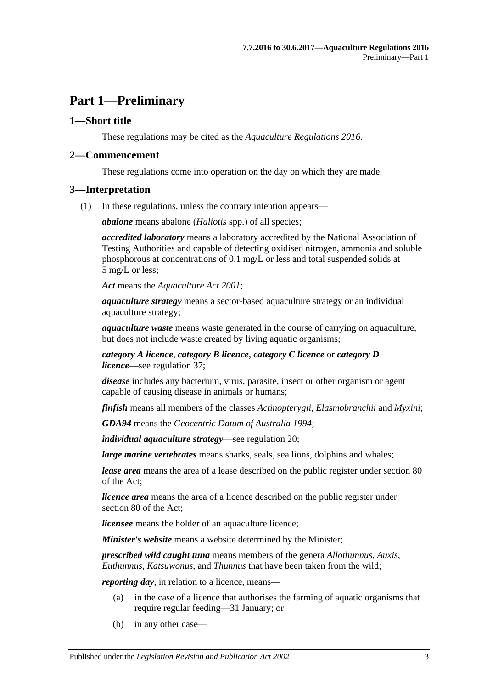## <span id="page-2-0"></span>**Part 1—Preliminary**

#### <span id="page-2-1"></span>**1—Short title**

These regulations may be cited as the *Aquaculture Regulations 2016*.

#### <span id="page-2-2"></span>**2—Commencement**

These regulations come into operation on the day on which they are made.

#### <span id="page-2-3"></span>**3—Interpretation**

(1) In these regulations, unless the contrary intention appears—

*abalone* means abalone (*Haliotis* spp.) of all species;

*accredited laboratory* means a laboratory accredited by the National Association of Testing Authorities and capable of detecting oxidised nitrogen, ammonia and soluble phosphorous at concentrations of 0.1 mg/L or less and total suspended solids at 5 mg/L or less;

*Act* means the *[Aquaculture Act](http://www.legislation.sa.gov.au/index.aspx?action=legref&type=act&legtitle=Aquaculture%20Act%202001) 2001*;

*aquaculture strategy* means a sector-based aquaculture strategy or an individual aquaculture strategy;

*aquaculture waste* means waste generated in the course of carrying on aquaculture, but does not include waste created by living aquatic organisms;

*category A licence*, *category B licence*, *category C licence* or *category D licence*—see [regulation](#page-21-2) 37;

*disease* includes any bacterium, virus, parasite, insect or other organism or agent capable of causing disease in animals or humans;

*finfish* means all members of the classes *Actinopterygii*, *Elasmobranchii* and *Myxini*;

*GDA94* means the *Geocentric Datum of Australia 1994*;

*individual aquaculture strategy*—see [regulation](#page-11-0) 20;

*large marine vertebrates* means sharks, seals, sea lions, dolphins and whales;

*lease area* means the area of a lease described on the public register under section 80 of the Act;

*licence area* means the area of a licence described on the public register under section 80 of the Act;

*licensee* means the holder of an aquaculture licence;

*Minister's website* means a website determined by the Minister;

*prescribed wild caught tuna* means members of the genera *Allothunnus*, *Auxis*, *Euthunnus*, *Katsuwonus*, and *Thunnus* that have been taken from the wild;

*reporting day,* in relation to a licence, means—

- (a) in the case of a licence that authorises the farming of aquatic organisms that require regular feeding—31 January; or
- (b) in any other case—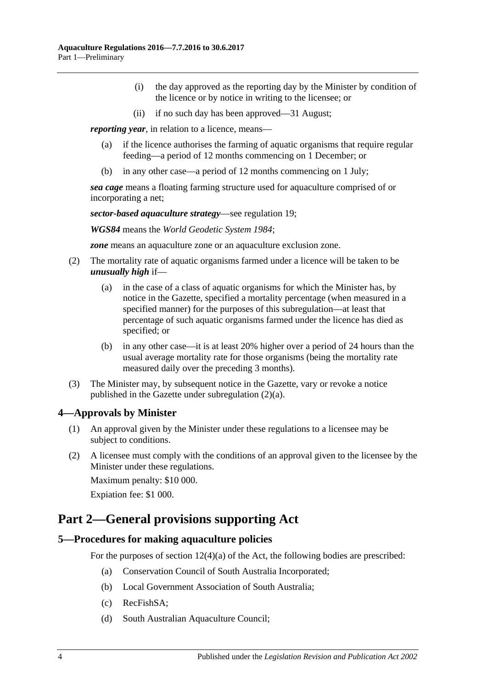- (i) the day approved as the reporting day by the Minister by condition of the licence or by notice in writing to the licensee; or
- (ii) if no such day has been approved—31 August;

*reporting year*, in relation to a licence, means—

- (a) if the licence authorises the farming of aquatic organisms that require regular feeding—a period of 12 months commencing on 1 December; or
- (b) in any other case—a period of 12 months commencing on 1 July;

*sea cage* means a floating farming structure used for aquaculture comprised of or incorporating a net;

*sector-based aquaculture strategy*—see [regulation](#page-10-2) 19;

*WGS84* means the *World Geodetic System 1984*;

*zone* means an aquaculture zone or an aquaculture exclusion zone.

- <span id="page-3-4"></span><span id="page-3-3"></span>(2) The mortality rate of aquatic organisms farmed under a licence will be taken to be *unusually high* if—
	- (a) in the case of a class of aquatic organisms for which the Minister has, by notice in the Gazette, specified a mortality percentage (when measured in a specified manner) for the purposes of this subregulation—at least that percentage of such aquatic organisms farmed under the licence has died as specified; or
	- (b) in any other case—it is at least 20% higher over a period of 24 hours than the usual average mortality rate for those organisms (being the mortality rate measured daily over the preceding 3 months).
- (3) The Minister may, by subsequent notice in the Gazette, vary or revoke a notice published in the Gazette under [subregulation](#page-3-3) (2)(a).

#### <span id="page-3-0"></span>**4—Approvals by Minister**

- (1) An approval given by the Minister under these regulations to a licensee may be subject to conditions.
- (2) A licensee must comply with the conditions of an approval given to the licensee by the Minister under these regulations.

Maximum penalty: \$10 000.

Expiation fee: \$1 000.

## <span id="page-3-1"></span>**Part 2—General provisions supporting Act**

#### <span id="page-3-2"></span>**5—Procedures for making aquaculture policies**

For the purposes of section  $12(4)(a)$  of the Act, the following bodies are prescribed:

- (a) Conservation Council of South Australia Incorporated;
- (b) Local Government Association of South Australia;
- (c) RecFishSA;
- (d) South Australian Aquaculture Council;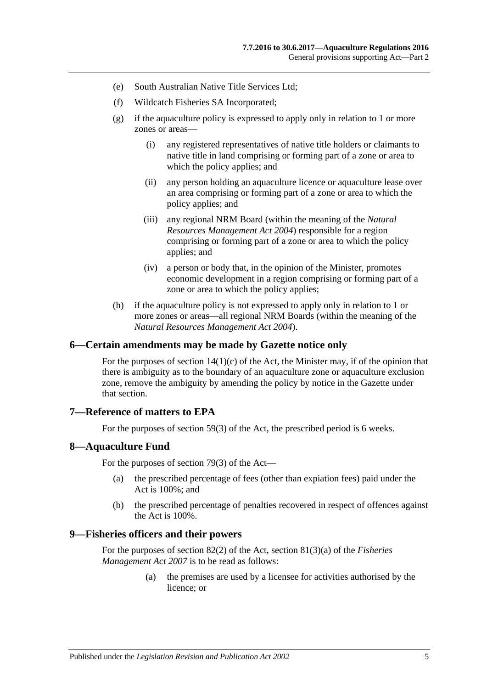- (e) South Australian Native Title Services Ltd;
- (f) Wildcatch Fisheries SA Incorporated;
- (g) if the aquaculture policy is expressed to apply only in relation to 1 or more zones or areas—
	- (i) any registered representatives of native title holders or claimants to native title in land comprising or forming part of a zone or area to which the policy applies; and
	- (ii) any person holding an aquaculture licence or aquaculture lease over an area comprising or forming part of a zone or area to which the policy applies; and
	- (iii) any regional NRM Board (within the meaning of the *[Natural](http://www.legislation.sa.gov.au/index.aspx?action=legref&type=act&legtitle=Natural%20Resources%20Management%20Act%202004)  [Resources Management Act](http://www.legislation.sa.gov.au/index.aspx?action=legref&type=act&legtitle=Natural%20Resources%20Management%20Act%202004) 2004*) responsible for a region comprising or forming part of a zone or area to which the policy applies; and
	- (iv) a person or body that, in the opinion of the Minister, promotes economic development in a region comprising or forming part of a zone or area to which the policy applies;
- (h) if the aquaculture policy is not expressed to apply only in relation to 1 or more zones or areas—all regional NRM Boards (within the meaning of the *[Natural Resources Management Act](http://www.legislation.sa.gov.au/index.aspx?action=legref&type=act&legtitle=Natural%20Resources%20Management%20Act%202004) 2004*).

#### <span id="page-4-0"></span>**6—Certain amendments may be made by Gazette notice only**

For the purposes of section  $14(1)(c)$  of the Act, the Minister may, if of the opinion that there is ambiguity as to the boundary of an aquaculture zone or aquaculture exclusion zone, remove the ambiguity by amending the policy by notice in the Gazette under that section.

#### <span id="page-4-1"></span>**7—Reference of matters to EPA**

For the purposes of section 59(3) of the Act, the prescribed period is 6 weeks.

#### <span id="page-4-2"></span>**8—Aquaculture Fund**

For the purposes of section 79(3) of the Act—

- (a) the prescribed percentage of fees (other than expiation fees) paid under the Act is 100%; and
- (b) the prescribed percentage of penalties recovered in respect of offences against the Act is 100%.

#### <span id="page-4-3"></span>**9—Fisheries officers and their powers**

For the purposes of section 82(2) of the Act, section 81(3)(a) of the *[Fisheries](http://www.legislation.sa.gov.au/index.aspx?action=legref&type=act&legtitle=Fisheries%20Management%20Act%202007)  [Management Act](http://www.legislation.sa.gov.au/index.aspx?action=legref&type=act&legtitle=Fisheries%20Management%20Act%202007) 2007* is to be read as follows:

> (a) the premises are used by a licensee for activities authorised by the licence; or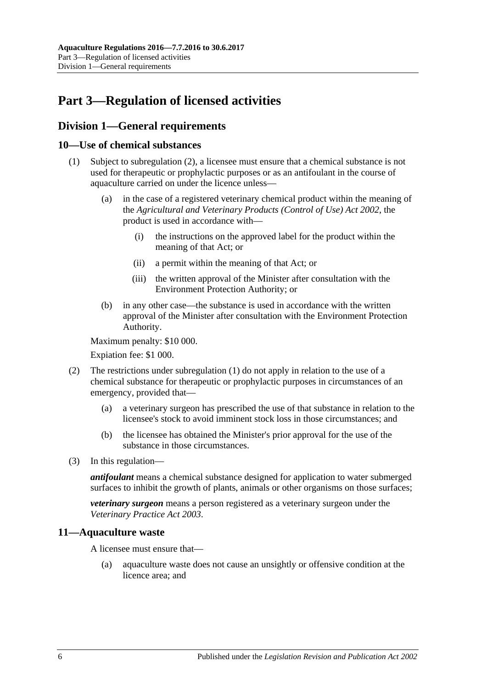# <span id="page-5-0"></span>**Part 3—Regulation of licensed activities**

## <span id="page-5-1"></span>**Division 1—General requirements**

#### <span id="page-5-5"></span><span id="page-5-2"></span>**10—Use of chemical substances**

- (1) Subject to [subregulation](#page-5-4) (2), a licensee must ensure that a chemical substance is not used for therapeutic or prophylactic purposes or as an antifoulant in the course of aquaculture carried on under the licence unless—
	- (a) in the case of a registered veterinary chemical product within the meaning of the *[Agricultural and Veterinary Products \(Control of Use\) Act](http://www.legislation.sa.gov.au/index.aspx?action=legref&type=act&legtitle=Agricultural%20and%20Veterinary%20Products%20(Control%20of%20Use)%20Act%202002) 2002*, the product is used in accordance with—
		- (i) the instructions on the approved label for the product within the meaning of that Act; or
		- (ii) a permit within the meaning of that Act; or
		- (iii) the written approval of the Minister after consultation with the Environment Protection Authority; or
	- (b) in any other case—the substance is used in accordance with the written approval of the Minister after consultation with the Environment Protection Authority.

<span id="page-5-6"></span>Maximum penalty: \$10 000.

Expiation fee: \$1 000.

- <span id="page-5-4"></span>(2) The restrictions under [subregulation](#page-5-5) (1) do not apply in relation to the use of a chemical substance for therapeutic or prophylactic purposes in circumstances of an emergency, provided that—
	- (a) a veterinary surgeon has prescribed the use of that substance in relation to the licensee's stock to avoid imminent stock loss in those circumstances; and
	- (b) the licensee has obtained the Minister's prior approval for the use of the substance in those circumstances.
- (3) In this regulation—

*antifoulant* means a chemical substance designed for application to water submerged surfaces to inhibit the growth of plants, animals or other organisms on those surfaces;

*veterinary surgeon* means a person registered as a veterinary surgeon under the *[Veterinary Practice Act](http://www.legislation.sa.gov.au/index.aspx?action=legref&type=act&legtitle=Veterinary%20Practice%20Act%202003) 2003*.

#### <span id="page-5-3"></span>**11—Aquaculture waste**

A licensee must ensure that—

(a) aquaculture waste does not cause an unsightly or offensive condition at the licence area; and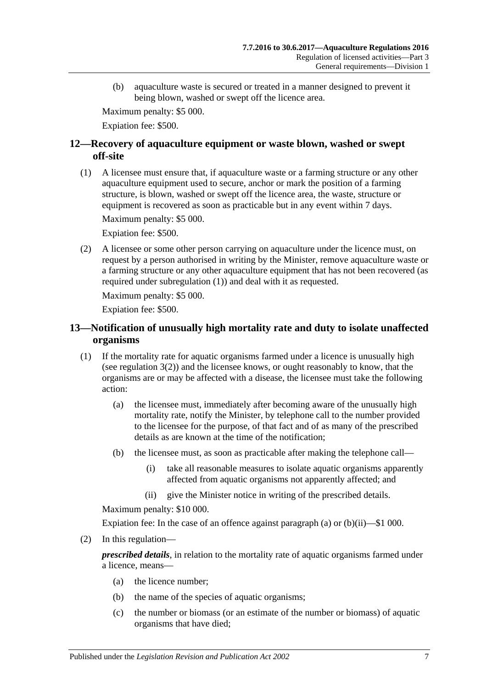(b) aquaculture waste is secured or treated in a manner designed to prevent it being blown, washed or swept off the licence area.

Maximum penalty: \$5 000.

Expiation fee: \$500.

## <span id="page-6-0"></span>**12—Recovery of aquaculture equipment or waste blown, washed or swept off-site**

<span id="page-6-2"></span>(1) A licensee must ensure that, if aquaculture waste or a farming structure or any other aquaculture equipment used to secure, anchor or mark the position of a farming structure, is blown, washed or swept off the licence area, the waste, structure or equipment is recovered as soon as practicable but in any event within 7 days.

Maximum penalty: \$5 000.

Expiation fee: \$500.

(2) A licensee or some other person carrying on aquaculture under the licence must, on request by a person authorised in writing by the Minister, remove aquaculture waste or a farming structure or any other aquaculture equipment that has not been recovered (as required under [subregulation](#page-6-2) (1)) and deal with it as requested.

Maximum penalty: \$5 000.

Expiation fee: \$500.

## <span id="page-6-1"></span>**13—Notification of unusually high mortality rate and duty to isolate unaffected organisms**

- <span id="page-6-5"></span><span id="page-6-3"></span>(1) If the mortality rate for aquatic organisms farmed under a licence is unusually high (see [regulation](#page-3-4) 3(2)) and the licensee knows, or ought reasonably to know, that the organisms are or may be affected with a disease, the licensee must take the following action:
	- (a) the licensee must, immediately after becoming aware of the unusually high mortality rate, notify the Minister, by telephone call to the number provided to the licensee for the purpose, of that fact and of as many of the prescribed details as are known at the time of the notification;
	- (b) the licensee must, as soon as practicable after making the telephone call—
		- (i) take all reasonable measures to isolate aquatic organisms apparently affected from aquatic organisms not apparently affected; and
		- (ii) give the Minister notice in writing of the prescribed details.

<span id="page-6-4"></span>Maximum penalty: \$10 000.

Expiation fee: In the case of an offence against [paragraph](#page-6-3) (a) or [\(b\)\(ii\)—](#page-6-4)\$1 000.

(2) In this regulation—

*prescribed details*, in relation to the mortality rate of aquatic organisms farmed under a licence, means—

- (a) the licence number;
- (b) the name of the species of aquatic organisms;
- (c) the number or biomass (or an estimate of the number or biomass) of aquatic organisms that have died;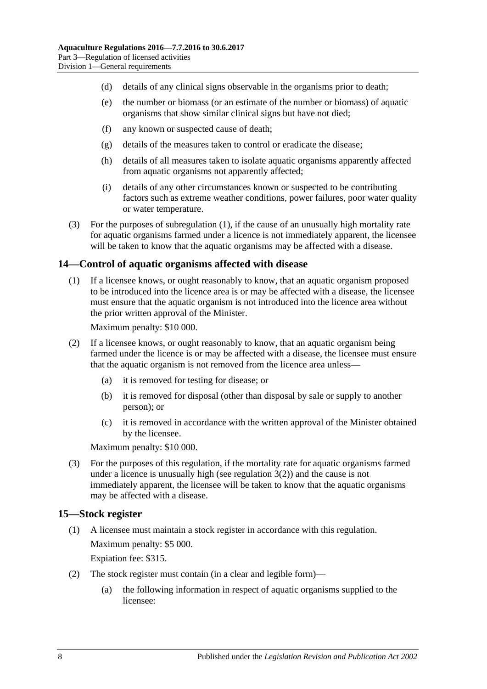- (d) details of any clinical signs observable in the organisms prior to death;
- (e) the number or biomass (or an estimate of the number or biomass) of aquatic organisms that show similar clinical signs but have not died;
- (f) any known or suspected cause of death;
- (g) details of the measures taken to control or eradicate the disease;
- (h) details of all measures taken to isolate aquatic organisms apparently affected from aquatic organisms not apparently affected;
- (i) details of any other circumstances known or suspected to be contributing factors such as extreme weather conditions, power failures, poor water quality or water temperature.
- (3) For the purposes of [subregulation](#page-6-5) (1), if the cause of an unusually high mortality rate for aquatic organisms farmed under a licence is not immediately apparent, the licensee will be taken to know that the aquatic organisms may be affected with a disease.

#### <span id="page-7-0"></span>**14—Control of aquatic organisms affected with disease**

(1) If a licensee knows, or ought reasonably to know, that an aquatic organism proposed to be introduced into the licence area is or may be affected with a disease, the licensee must ensure that the aquatic organism is not introduced into the licence area without the prior written approval of the Minister.

Maximum penalty: \$10 000.

- (2) If a licensee knows, or ought reasonably to know, that an aquatic organism being farmed under the licence is or may be affected with a disease, the licensee must ensure that the aquatic organism is not removed from the licence area unless—
	- (a) it is removed for testing for disease; or
	- (b) it is removed for disposal (other than disposal by sale or supply to another person); or
	- (c) it is removed in accordance with the written approval of the Minister obtained by the licensee.

Maximum penalty: \$10 000.

(3) For the purposes of this regulation, if the mortality rate for aquatic organisms farmed under a licence is unusually high (see [regulation](#page-3-4)  $3(2)$ ) and the cause is not immediately apparent, the licensee will be taken to know that the aquatic organisms may be affected with a disease.

#### <span id="page-7-1"></span>**15—Stock register**

(1) A licensee must maintain a stock register in accordance with this regulation. Maximum penalty: \$5 000.

Expiation fee: \$315.

- (2) The stock register must contain (in a clear and legible form)—
	- (a) the following information in respect of aquatic organisms supplied to the licensee: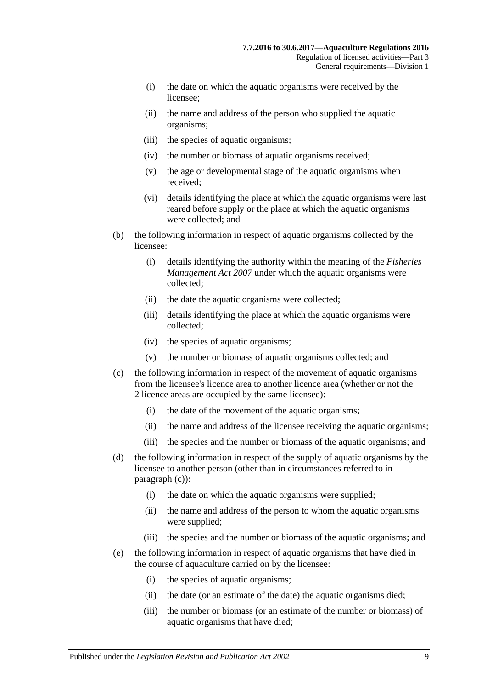- (i) the date on which the aquatic organisms were received by the licensee;
- (ii) the name and address of the person who supplied the aquatic organisms;
- (iii) the species of aquatic organisms;
- (iv) the number or biomass of aquatic organisms received;
- (v) the age or developmental stage of the aquatic organisms when received;
- (vi) details identifying the place at which the aquatic organisms were last reared before supply or the place at which the aquatic organisms were collected; and
- (b) the following information in respect of aquatic organisms collected by the licensee:
	- (i) details identifying the authority within the meaning of the *[Fisheries](http://www.legislation.sa.gov.au/index.aspx?action=legref&type=act&legtitle=Fisheries%20Management%20Act%202007)  [Management Act](http://www.legislation.sa.gov.au/index.aspx?action=legref&type=act&legtitle=Fisheries%20Management%20Act%202007) 2007* under which the aquatic organisms were collected;
	- (ii) the date the aquatic organisms were collected;
	- (iii) details identifying the place at which the aquatic organisms were collected;
	- (iv) the species of aquatic organisms;
	- (v) the number or biomass of aquatic organisms collected; and
- <span id="page-8-0"></span>(c) the following information in respect of the movement of aquatic organisms from the licensee's licence area to another licence area (whether or not the 2 licence areas are occupied by the same licensee):
	- (i) the date of the movement of the aquatic organisms;
	- (ii) the name and address of the licensee receiving the aquatic organisms;
	- (iii) the species and the number or biomass of the aquatic organisms; and
- (d) the following information in respect of the supply of aquatic organisms by the licensee to another person (other than in circumstances referred to in [paragraph](#page-8-0) (c)):
	- (i) the date on which the aquatic organisms were supplied;
	- (ii) the name and address of the person to whom the aquatic organisms were supplied;
	- (iii) the species and the number or biomass of the aquatic organisms; and
- (e) the following information in respect of aquatic organisms that have died in the course of aquaculture carried on by the licensee:
	- (i) the species of aquatic organisms;
	- (ii) the date (or an estimate of the date) the aquatic organisms died;
	- (iii) the number or biomass (or an estimate of the number or biomass) of aquatic organisms that have died;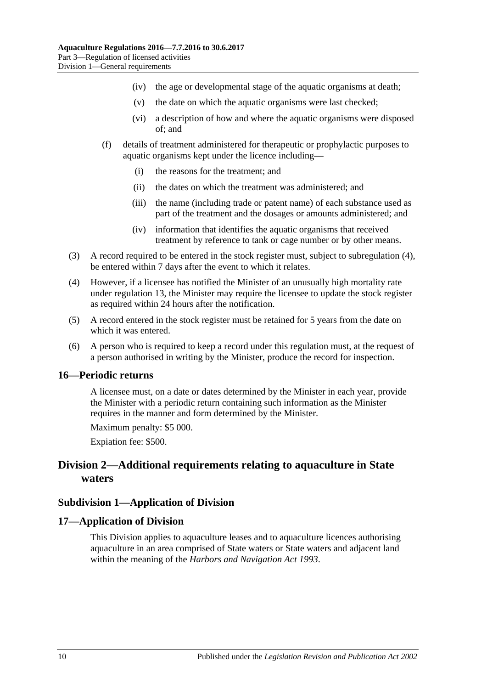- (iv) the age or developmental stage of the aquatic organisms at death;
- (v) the date on which the aquatic organisms were last checked;
- (vi) a description of how and where the aquatic organisms were disposed of; and
- (f) details of treatment administered for therapeutic or prophylactic purposes to aquatic organisms kept under the licence including—
	- (i) the reasons for the treatment; and
	- (ii) the dates on which the treatment was administered; and
	- (iii) the name (including trade or patent name) of each substance used as part of the treatment and the dosages or amounts administered; and
	- (iv) information that identifies the aquatic organisms that received treatment by reference to tank or cage number or by other means.
- (3) A record required to be entered in the stock register must, subject to [subregulation](#page-9-4) (4), be entered within 7 days after the event to which it relates.
- <span id="page-9-4"></span>(4) However, if a licensee has notified the Minister of an unusually high mortality rate under [regulation](#page-6-1) 13, the Minister may require the licensee to update the stock register as required within 24 hours after the notification.
- (5) A record entered in the stock register must be retained for 5 years from the date on which it was entered.
- (6) A person who is required to keep a record under this regulation must, at the request of a person authorised in writing by the Minister, produce the record for inspection.

#### <span id="page-9-0"></span>**16—Periodic returns**

A licensee must, on a date or dates determined by the Minister in each year, provide the Minister with a periodic return containing such information as the Minister requires in the manner and form determined by the Minister.

Maximum penalty: \$5 000.

Expiation fee: \$500.

## <span id="page-9-1"></span>**Division 2—Additional requirements relating to aquaculture in State waters**

#### <span id="page-9-2"></span>**Subdivision 1—Application of Division**

#### <span id="page-9-3"></span>**17—Application of Division**

This Division applies to aquaculture leases and to aquaculture licences authorising aquaculture in an area comprised of State waters or State waters and adjacent land within the meaning of the *[Harbors and Navigation Act](http://www.legislation.sa.gov.au/index.aspx?action=legref&type=act&legtitle=Harbors%20and%20Navigation%20Act%201993) 1993*.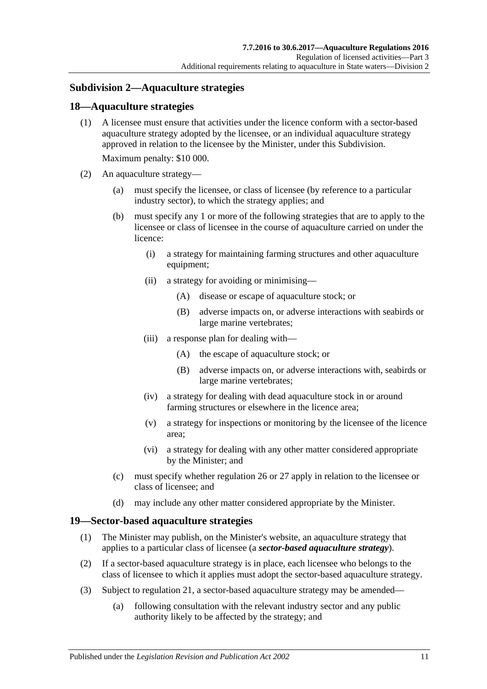## <span id="page-10-0"></span>**Subdivision 2—Aquaculture strategies**

#### <span id="page-10-1"></span>**18—Aquaculture strategies**

(1) A licensee must ensure that activities under the licence conform with a sector-based aquaculture strategy adopted by the licensee, or an individual aquaculture strategy approved in relation to the licensee by the Minister, under this Subdivision.

Maximum penalty: \$10 000.

- (2) An aquaculture strategy—
	- (a) must specify the licensee, or class of licensee (by reference to a particular industry sector), to which the strategy applies; and
	- (b) must specify any 1 or more of the following strategies that are to apply to the licensee or class of licensee in the course of aquaculture carried on under the licence:
		- (i) a strategy for maintaining farming structures and other aquaculture equipment;
		- (ii) a strategy for avoiding or minimising—
			- (A) disease or escape of aquaculture stock; or
			- (B) adverse impacts on, or adverse interactions with seabirds or large marine vertebrates;
		- (iii) a response plan for dealing with—
			- (A) the escape of aquaculture stock; or
			- (B) adverse impacts on, or adverse interactions with, seabirds or large marine vertebrates;
		- (iv) a strategy for dealing with dead aquaculture stock in or around farming structures or elsewhere in the licence area;
		- (v) a strategy for inspections or monitoring by the licensee of the licence area;
		- (vi) a strategy for dealing with any other matter considered appropriate by the Minister; and
	- (c) must specify whether [regulation](#page-14-0) 26 or [27](#page-15-0) apply in relation to the licensee or class of licensee; and
	- (d) may include any other matter considered appropriate by the Minister.

#### <span id="page-10-2"></span>**19—Sector-based aquaculture strategies**

- (1) The Minister may publish, on the Minister's website, an aquaculture strategy that applies to a particular class of licensee (a *sector-based aquaculture strategy*).
- (2) If a sector-based aquaculture strategy is in place, each licensee who belongs to the class of licensee to which it applies must adopt the sector-based aquaculture strategy.
- <span id="page-10-3"></span>(3) Subject to [regulation](#page-11-1) 21, a sector-based aquaculture strategy may be amended—
	- (a) following consultation with the relevant industry sector and any public authority likely to be affected by the strategy; and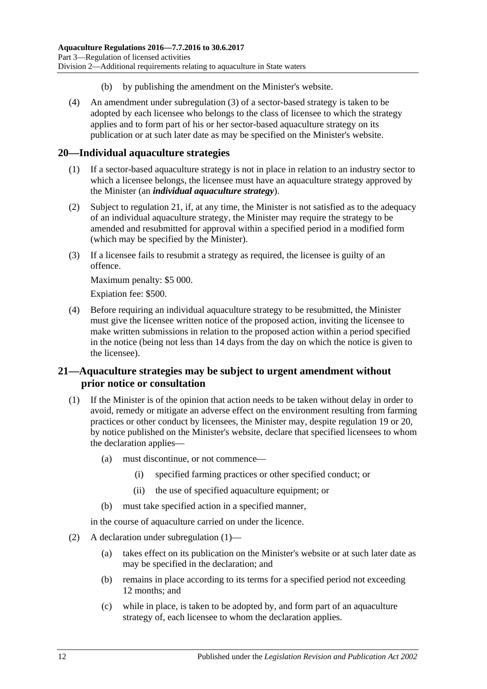- (b) by publishing the amendment on the Minister's website.
- (4) An amendment under [subregulation](#page-10-3) (3) of a sector-based strategy is taken to be adopted by each licensee who belongs to the class of licensee to which the strategy applies and to form part of his or her sector-based aquaculture strategy on its publication or at such later date as may be specified on the Minister's website.

#### <span id="page-11-0"></span>**20—Individual aquaculture strategies**

- (1) If a sector-based aquaculture strategy is not in place in relation to an industry sector to which a licensee belongs, the licensee must have an aquaculture strategy approved by the Minister (an *individual aquaculture strategy*).
- (2) Subject to [regulation](#page-11-1) 21, if, at any time, the Minister is not satisfied as to the adequacy of an individual aquaculture strategy, the Minister may require the strategy to be amended and resubmitted for approval within a specified period in a modified form (which may be specified by the Minister).
- (3) If a licensee fails to resubmit a strategy as required, the licensee is guilty of an offence.

Maximum penalty: \$5 000.

Expiation fee: \$500.

(4) Before requiring an individual aquaculture strategy to be resubmitted, the Minister must give the licensee written notice of the proposed action, inviting the licensee to make written submissions in relation to the proposed action within a period specified in the notice (being not less than 14 days from the day on which the notice is given to the licensee).

#### <span id="page-11-1"></span>**21—Aquaculture strategies may be subject to urgent amendment without prior notice or consultation**

- <span id="page-11-2"></span>(1) If the Minister is of the opinion that action needs to be taken without delay in order to avoid, remedy or mitigate an adverse effect on the environment resulting from farming practices or other conduct by licensees, the Minister may, despite [regulation](#page-10-2) 19 or [20,](#page-11-0) by notice published on the Minister's website, declare that specified licensees to whom the declaration applies—
	- (a) must discontinue, or not commence—
		- (i) specified farming practices or other specified conduct; or
		- (ii) the use of specified aquaculture equipment; or
	- (b) must take specified action in a specified manner,

in the course of aquaculture carried on under the licence.

- (2) A declaration under [subregulation](#page-11-2) (1)—
	- (a) takes effect on its publication on the Minister's website or at such later date as may be specified in the declaration; and
	- (b) remains in place according to its terms for a specified period not exceeding 12 months; and
	- (c) while in place, is taken to be adopted by, and form part of an aquaculture strategy of, each licensee to whom the declaration applies.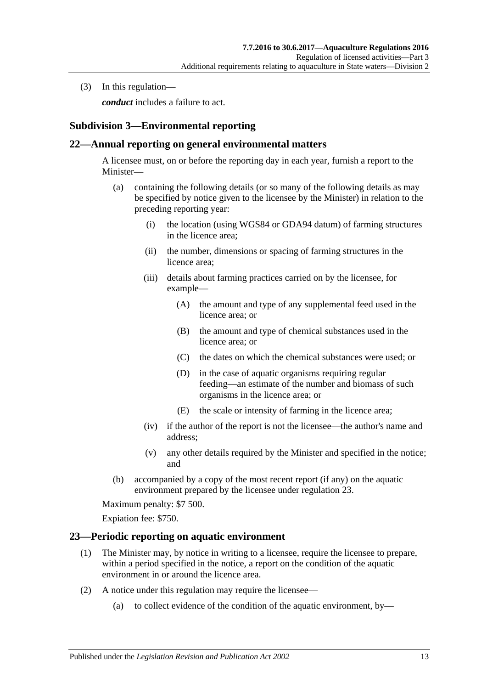(3) In this regulation—

*conduct* includes a failure to act.

## <span id="page-12-0"></span>**Subdivision 3—Environmental reporting**

#### <span id="page-12-1"></span>**22—Annual reporting on general environmental matters**

A licensee must, on or before the reporting day in each year, furnish a report to the Minister—

- (a) containing the following details (or so many of the following details as may be specified by notice given to the licensee by the Minister) in relation to the preceding reporting year:
	- (i) the location (using WGS84 or GDA94 datum) of farming structures in the licence area;
	- (ii) the number, dimensions or spacing of farming structures in the licence area;
	- (iii) details about farming practices carried on by the licensee, for example—
		- (A) the amount and type of any supplemental feed used in the licence area; or
		- (B) the amount and type of chemical substances used in the licence area; or
		- (C) the dates on which the chemical substances were used; or
		- (D) in the case of aquatic organisms requiring regular feeding—an estimate of the number and biomass of such organisms in the licence area; or
		- (E) the scale or intensity of farming in the licence area;
	- (iv) if the author of the report is not the licensee—the author's name and address;
	- (v) any other details required by the Minister and specified in the notice; and
- (b) accompanied by a copy of the most recent report (if any) on the aquatic environment prepared by the licensee under [regulation](#page-12-2) 23.

Maximum penalty: \$7 500.

Expiation fee: \$750.

#### <span id="page-12-4"></span><span id="page-12-2"></span>**23—Periodic reporting on aquatic environment**

- (1) The Minister may, by notice in writing to a licensee, require the licensee to prepare, within a period specified in the notice, a report on the condition of the aquatic environment in or around the licence area.
- <span id="page-12-3"></span>(2) A notice under this regulation may require the licensee—
	- (a) to collect evidence of the condition of the aquatic environment, by—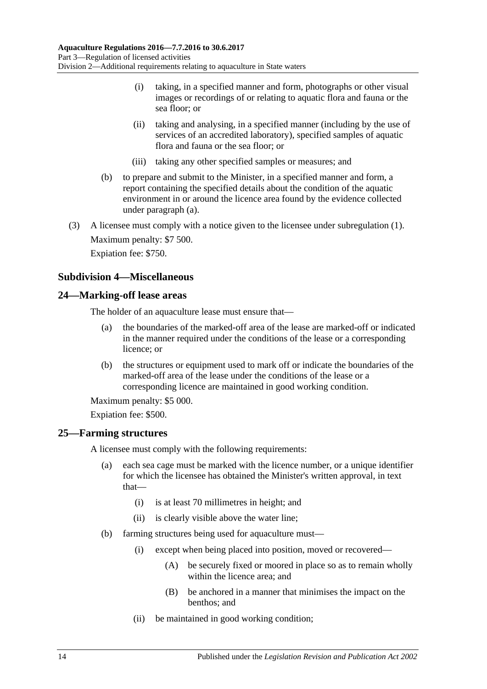- (i) taking, in a specified manner and form, photographs or other visual images or recordings of or relating to aquatic flora and fauna or the sea floor; or
- (ii) taking and analysing, in a specified manner (including by the use of services of an accredited laboratory), specified samples of aquatic flora and fauna or the sea floor; or
- (iii) taking any other specified samples or measures; and
- (b) to prepare and submit to the Minister, in a specified manner and form, a report containing the specified details about the condition of the aquatic environment in or around the licence area found by the evidence collected under [paragraph](#page-12-3) (a).
- (3) A licensee must comply with a notice given to the licensee under [subregulation](#page-12-4) (1). Maximum penalty: \$7 500. Expiation fee: \$750.

## <span id="page-13-0"></span>**Subdivision 4—Miscellaneous**

#### <span id="page-13-1"></span>**24—Marking-off lease areas**

The holder of an aquaculture lease must ensure that—

- (a) the boundaries of the marked-off area of the lease are marked-off or indicated in the manner required under the conditions of the lease or a corresponding licence; or
- (b) the structures or equipment used to mark off or indicate the boundaries of the marked-off area of the lease under the conditions of the lease or a corresponding licence are maintained in good working condition.

Maximum penalty: \$5 000.

Expiation fee: \$500.

#### <span id="page-13-2"></span>**25—Farming structures**

A licensee must comply with the following requirements:

- (a) each sea cage must be marked with the licence number, or a unique identifier for which the licensee has obtained the Minister's written approval, in text that—
	- (i) is at least 70 millimetres in height; and
	- (ii) is clearly visible above the water line;
- (b) farming structures being used for aquaculture must—
	- (i) except when being placed into position, moved or recovered—
		- (A) be securely fixed or moored in place so as to remain wholly within the licence area; and
		- (B) be anchored in a manner that minimises the impact on the benthos; and
	- (ii) be maintained in good working condition;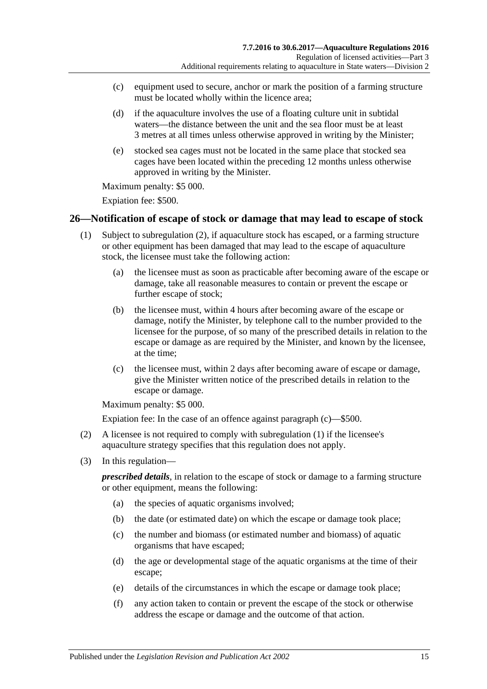- (c) equipment used to secure, anchor or mark the position of a farming structure must be located wholly within the licence area;
- <span id="page-14-4"></span>(d) if the aquaculture involves the use of a floating culture unit in subtidal waters—the distance between the unit and the sea floor must be at least 3 metres at all times unless otherwise approved in writing by the Minister;
- (e) stocked sea cages must not be located in the same place that stocked sea cages have been located within the preceding 12 months unless otherwise approved in writing by the Minister.

Maximum penalty: \$5 000.

Expiation fee: \$500.

#### <span id="page-14-3"></span><span id="page-14-0"></span>**26—Notification of escape of stock or damage that may lead to escape of stock**

- (1) Subject to [subregulation](#page-14-1) (2), if aquaculture stock has escaped, or a farming structure or other equipment has been damaged that may lead to the escape of aquaculture stock, the licensee must take the following action:
	- (a) the licensee must as soon as practicable after becoming aware of the escape or damage, take all reasonable measures to contain or prevent the escape or further escape of stock;
	- (b) the licensee must, within 4 hours after becoming aware of the escape or damage, notify the Minister, by telephone call to the number provided to the licensee for the purpose, of so many of the prescribed details in relation to the escape or damage as are required by the Minister, and known by the licensee, at the time;
	- (c) the licensee must, within 2 days after becoming aware of escape or damage, give the Minister written notice of the prescribed details in relation to the escape or damage.

<span id="page-14-2"></span>Maximum penalty: \$5 000.

Expiation fee: In the case of an offence against [paragraph](#page-14-2) (c)—\$500.

- <span id="page-14-1"></span>(2) A licensee is not required to comply with [subregulation](#page-14-3) (1) if the licensee's aquaculture strategy specifies that this regulation does not apply.
- (3) In this regulation—

*prescribed details*, in relation to the escape of stock or damage to a farming structure or other equipment, means the following:

- (a) the species of aquatic organisms involved;
- (b) the date (or estimated date) on which the escape or damage took place;
- (c) the number and biomass (or estimated number and biomass) of aquatic organisms that have escaped;
- (d) the age or developmental stage of the aquatic organisms at the time of their escape;
- (e) details of the circumstances in which the escape or damage took place;
- (f) any action taken to contain or prevent the escape of the stock or otherwise address the escape or damage and the outcome of that action.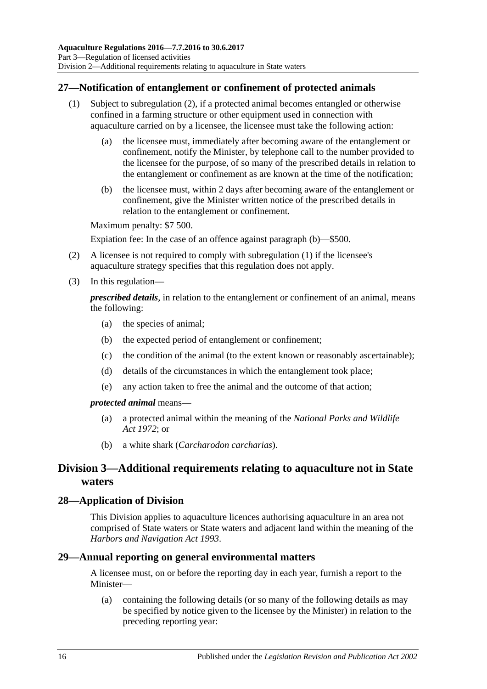## <span id="page-15-0"></span>**27—Notification of entanglement or confinement of protected animals**

- (1) Subject to [subregulation](#page-15-4) (2), if a protected animal becomes entangled or otherwise confined in a farming structure or other equipment used in connection with aquaculture carried on by a licensee, the licensee must take the following action:
	- (a) the licensee must, immediately after becoming aware of the entanglement or confinement, notify the Minister, by telephone call to the number provided to the licensee for the purpose, of so many of the prescribed details in relation to the entanglement or confinement as are known at the time of the notification;
	- (b) the licensee must, within 2 days after becoming aware of the entanglement or confinement, give the Minister written notice of the prescribed details in relation to the entanglement or confinement.

<span id="page-15-5"></span>Maximum penalty: \$7 500.

Expiation fee: In the case of an offence against [paragraph](#page-15-5) (b)—\$500.

- <span id="page-15-4"></span>(2) A licensee is not required to comply with [subregulation](#page-14-3) (1) if the licensee's aquaculture strategy specifies that this regulation does not apply.
- (3) In this regulation—

*prescribed details*, in relation to the entanglement or confinement of an animal, means the following:

- (a) the species of animal;
- (b) the expected period of entanglement or confinement;
- (c) the condition of the animal (to the extent known or reasonably ascertainable);
- (d) details of the circumstances in which the entanglement took place;
- (e) any action taken to free the animal and the outcome of that action;

#### *protected animal* means—

- (a) a protected animal within the meaning of the *[National Parks and Wildlife](http://www.legislation.sa.gov.au/index.aspx?action=legref&type=act&legtitle=National%20Parks%20and%20Wildlife%20Act%201972)  Act [1972](http://www.legislation.sa.gov.au/index.aspx?action=legref&type=act&legtitle=National%20Parks%20and%20Wildlife%20Act%201972)*; or
- (b) a white shark (*Carcharodon carcharias*).

## <span id="page-15-1"></span>**Division 3—Additional requirements relating to aquaculture not in State waters**

#### <span id="page-15-2"></span>**28—Application of Division**

This Division applies to aquaculture licences authorising aquaculture in an area not comprised of State waters or State waters and adjacent land within the meaning of the *[Harbors and Navigation Act](http://www.legislation.sa.gov.au/index.aspx?action=legref&type=act&legtitle=Harbors%20and%20Navigation%20Act%201993) 1993*.

#### <span id="page-15-3"></span>**29—Annual reporting on general environmental matters**

A licensee must, on or before the reporting day in each year, furnish a report to the Minister—

(a) containing the following details (or so many of the following details as may be specified by notice given to the licensee by the Minister) in relation to the preceding reporting year: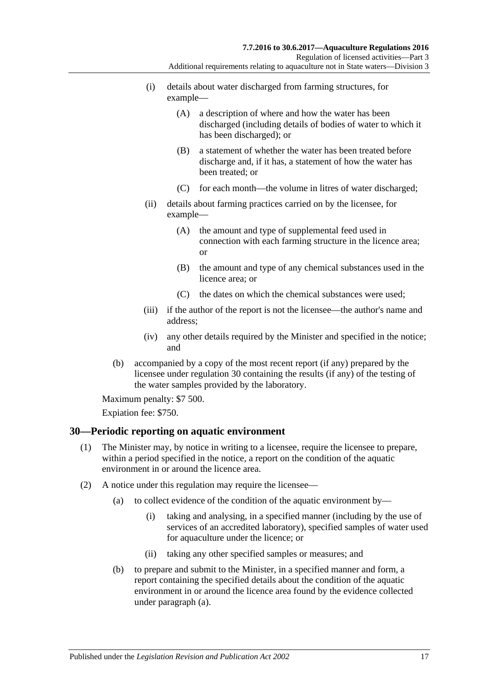- (i) details about water discharged from farming structures, for example—
	- (A) a description of where and how the water has been discharged (including details of bodies of water to which it has been discharged); or
	- (B) a statement of whether the water has been treated before discharge and, if it has, a statement of how the water has been treated; or
	- (C) for each month—the volume in litres of water discharged;
- (ii) details about farming practices carried on by the licensee, for example—
	- (A) the amount and type of supplemental feed used in connection with each farming structure in the licence area; or
	- (B) the amount and type of any chemical substances used in the licence area; or
	- (C) the dates on which the chemical substances were used;
- (iii) if the author of the report is not the licensee—the author's name and address;
- (iv) any other details required by the Minister and specified in the notice; and
- (b) accompanied by a copy of the most recent report (if any) prepared by the licensee under [regulation](#page-16-0) 30 containing the results (if any) of the testing of the water samples provided by the laboratory.

Maximum penalty: \$7 500.

Expiation fee: \$750.

#### <span id="page-16-2"></span><span id="page-16-0"></span>**30—Periodic reporting on aquatic environment**

- (1) The Minister may, by notice in writing to a licensee, require the licensee to prepare, within a period specified in the notice, a report on the condition of the aquatic environment in or around the licence area.
- <span id="page-16-1"></span>(2) A notice under this regulation may require the licensee—
	- (a) to collect evidence of the condition of the aquatic environment by—
		- (i) taking and analysing, in a specified manner (including by the use of services of an accredited laboratory), specified samples of water used for aquaculture under the licence; or
		- (ii) taking any other specified samples or measures; and
	- (b) to prepare and submit to the Minister, in a specified manner and form, a report containing the specified details about the condition of the aquatic environment in or around the licence area found by the evidence collected under [paragraph](#page-16-1) (a).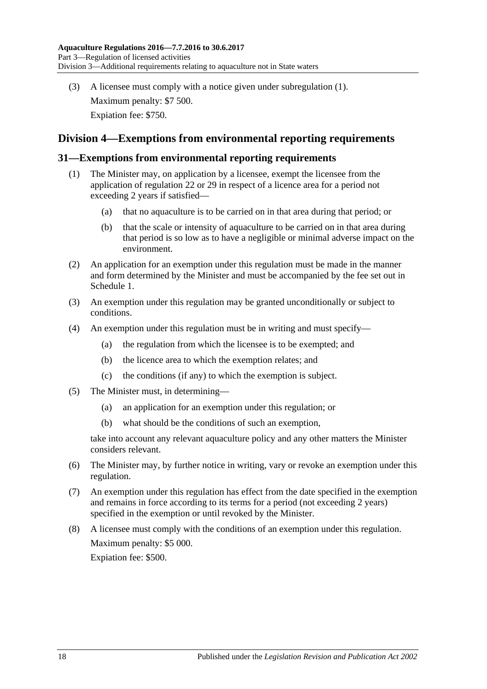(3) A licensee must comply with a notice given under [subregulation](#page-16-2) (1). Maximum penalty: \$7 500. Expiation fee: \$750.

## <span id="page-17-0"></span>**Division 4—Exemptions from environmental reporting requirements**

#### <span id="page-17-1"></span>**31—Exemptions from environmental reporting requirements**

- (1) The Minister may, on application by a licensee, exempt the licensee from the application of [regulation](#page-12-1) 22 or [29](#page-15-3) in respect of a licence area for a period not exceeding 2 years if satisfied—
	- (a) that no aquaculture is to be carried on in that area during that period; or
	- (b) that the scale or intensity of aquaculture to be carried on in that area during that period is so low as to have a negligible or minimal adverse impact on the environment.
- (2) An application for an exemption under this regulation must be made in the manner and form determined by the Minister and must be accompanied by the fee set out in [Schedule](#page-24-0) 1.
- (3) An exemption under this regulation may be granted unconditionally or subject to conditions.
- (4) An exemption under this regulation must be in writing and must specify—
	- (a) the regulation from which the licensee is to be exempted; and
	- (b) the licence area to which the exemption relates; and
	- (c) the conditions (if any) to which the exemption is subject.
- (5) The Minister must, in determining—
	- (a) an application for an exemption under this regulation; or
	- (b) what should be the conditions of such an exemption,

take into account any relevant aquaculture policy and any other matters the Minister considers relevant.

- (6) The Minister may, by further notice in writing, vary or revoke an exemption under this regulation.
- (7) An exemption under this regulation has effect from the date specified in the exemption and remains in force according to its terms for a period (not exceeding 2 years) specified in the exemption or until revoked by the Minister.
- (8) A licensee must comply with the conditions of an exemption under this regulation. Maximum penalty: \$5 000. Expiation fee: \$500.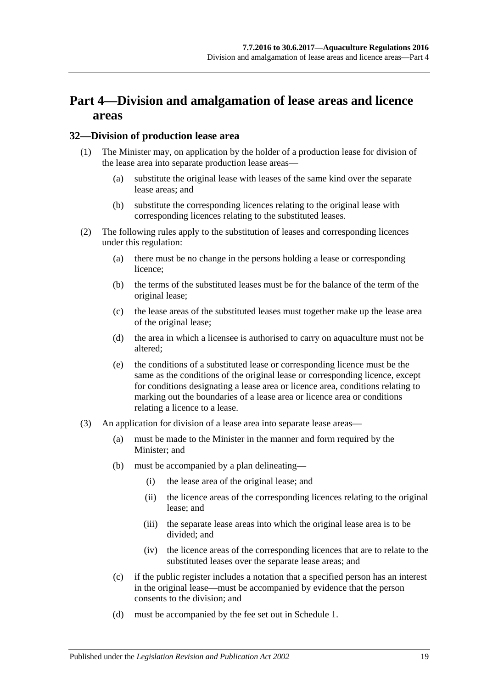## <span id="page-18-0"></span>**Part 4—Division and amalgamation of lease areas and licence areas**

#### <span id="page-18-1"></span>**32—Division of production lease area**

- (1) The Minister may, on application by the holder of a production lease for division of the lease area into separate production lease areas—
	- (a) substitute the original lease with leases of the same kind over the separate lease areas; and
	- (b) substitute the corresponding licences relating to the original lease with corresponding licences relating to the substituted leases.
- (2) The following rules apply to the substitution of leases and corresponding licences under this regulation:
	- (a) there must be no change in the persons holding a lease or corresponding licence;
	- (b) the terms of the substituted leases must be for the balance of the term of the original lease;
	- (c) the lease areas of the substituted leases must together make up the lease area of the original lease;
	- (d) the area in which a licensee is authorised to carry on aquaculture must not be altered;
	- (e) the conditions of a substituted lease or corresponding licence must be the same as the conditions of the original lease or corresponding licence, except for conditions designating a lease area or licence area, conditions relating to marking out the boundaries of a lease area or licence area or conditions relating a licence to a lease.
- (3) An application for division of a lease area into separate lease areas—
	- (a) must be made to the Minister in the manner and form required by the Minister; and
	- (b) must be accompanied by a plan delineating—
		- (i) the lease area of the original lease; and
		- (ii) the licence areas of the corresponding licences relating to the original lease; and
		- (iii) the separate lease areas into which the original lease area is to be divided; and
		- (iv) the licence areas of the corresponding licences that are to relate to the substituted leases over the separate lease areas; and
	- (c) if the public register includes a notation that a specified person has an interest in the original lease—must be accompanied by evidence that the person consents to the division; and
	- (d) must be accompanied by the fee set out in [Schedule](#page-24-0) 1.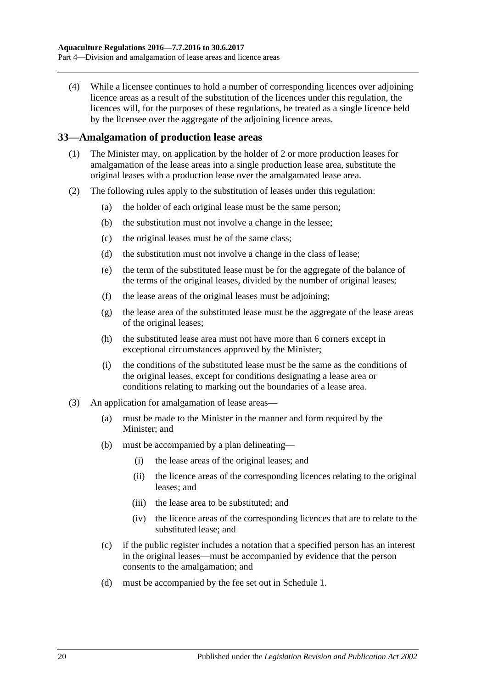(4) While a licensee continues to hold a number of corresponding licences over adjoining licence areas as a result of the substitution of the licences under this regulation, the licences will, for the purposes of these regulations, be treated as a single licence held by the licensee over the aggregate of the adjoining licence areas.

#### <span id="page-19-0"></span>**33—Amalgamation of production lease areas**

- (1) The Minister may, on application by the holder of 2 or more production leases for amalgamation of the lease areas into a single production lease area, substitute the original leases with a production lease over the amalgamated lease area.
- (2) The following rules apply to the substitution of leases under this regulation:
	- (a) the holder of each original lease must be the same person;
	- (b) the substitution must not involve a change in the lessee;
	- (c) the original leases must be of the same class;
	- (d) the substitution must not involve a change in the class of lease;
	- (e) the term of the substituted lease must be for the aggregate of the balance of the terms of the original leases, divided by the number of original leases;
	- (f) the lease areas of the original leases must be adjoining;
	- (g) the lease area of the substituted lease must be the aggregate of the lease areas of the original leases;
	- (h) the substituted lease area must not have more than 6 corners except in exceptional circumstances approved by the Minister;
	- (i) the conditions of the substituted lease must be the same as the conditions of the original leases, except for conditions designating a lease area or conditions relating to marking out the boundaries of a lease area.
- <span id="page-19-1"></span>(3) An application for amalgamation of lease areas—
	- (a) must be made to the Minister in the manner and form required by the Minister; and
	- (b) must be accompanied by a plan delineating—
		- (i) the lease areas of the original leases; and
		- (ii) the licence areas of the corresponding licences relating to the original leases; and
		- (iii) the lease area to be substituted; and
		- (iv) the licence areas of the corresponding licences that are to relate to the substituted lease; and
	- (c) if the public register includes a notation that a specified person has an interest in the original leases—must be accompanied by evidence that the person consents to the amalgamation; and
	- (d) must be accompanied by the fee set out in [Schedule](#page-24-0) 1.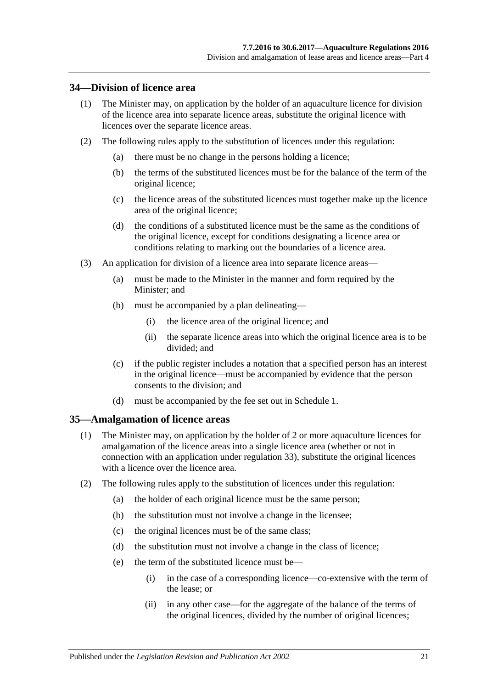#### <span id="page-20-0"></span>**34—Division of licence area**

- (1) The Minister may, on application by the holder of an aquaculture licence for division of the licence area into separate licence areas, substitute the original licence with licences over the separate licence areas.
- (2) The following rules apply to the substitution of licences under this regulation:
	- (a) there must be no change in the persons holding a licence;
	- (b) the terms of the substituted licences must be for the balance of the term of the original licence;
	- (c) the licence areas of the substituted licences must together make up the licence area of the original licence;
	- (d) the conditions of a substituted licence must be the same as the conditions of the original licence, except for conditions designating a licence area or conditions relating to marking out the boundaries of a licence area.
- (3) An application for division of a licence area into separate licence areas—
	- (a) must be made to the Minister in the manner and form required by the Minister; and
	- (b) must be accompanied by a plan delineating—
		- (i) the licence area of the original licence; and
		- (ii) the separate licence areas into which the original licence area is to be divided; and
	- (c) if the public register includes a notation that a specified person has an interest in the original licence—must be accompanied by evidence that the person consents to the division; and
	- (d) must be accompanied by the fee set out in [Schedule](#page-24-0) 1.

#### <span id="page-20-1"></span>**35—Amalgamation of licence areas**

- (1) The Minister may, on application by the holder of 2 or more aquaculture licences for amalgamation of the licence areas into a single licence area (whether or not in connection with an application under [regulation](#page-19-0) 33), substitute the original licences with a licence over the licence area.
- (2) The following rules apply to the substitution of licences under this regulation:
	- (a) the holder of each original licence must be the same person;
	- (b) the substitution must not involve a change in the licensee;
	- (c) the original licences must be of the same class;
	- (d) the substitution must not involve a change in the class of licence;
	- (e) the term of the substituted licence must be—
		- (i) in the case of a corresponding licence—co-extensive with the term of the lease; or
		- (ii) in any other case—for the aggregate of the balance of the terms of the original licences, divided by the number of original licences;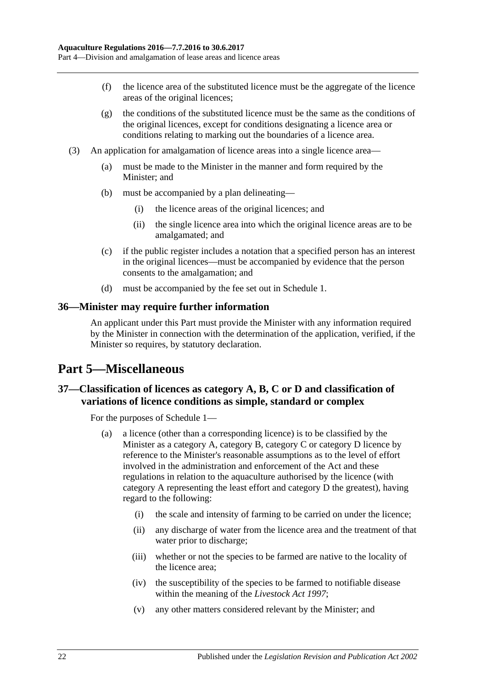- (f) the licence area of the substituted licence must be the aggregate of the licence areas of the original licences;
- (g) the conditions of the substituted licence must be the same as the conditions of the original licences, except for conditions designating a licence area or conditions relating to marking out the boundaries of a licence area.
- (3) An application for amalgamation of licence areas into a single licence area—
	- (a) must be made to the Minister in the manner and form required by the Minister; and
	- (b) must be accompanied by a plan delineating—
		- (i) the licence areas of the original licences; and
		- (ii) the single licence area into which the original licence areas are to be amalgamated; and
	- (c) if the public register includes a notation that a specified person has an interest in the original licences—must be accompanied by evidence that the person consents to the amalgamation; and
	- (d) must be accompanied by the fee set out in [Schedule](#page-24-0) 1.

#### <span id="page-21-0"></span>**36—Minister may require further information**

An applicant under this Part must provide the Minister with any information required by the Minister in connection with the determination of the application, verified, if the Minister so requires, by statutory declaration.

## <span id="page-21-1"></span>**Part 5—Miscellaneous**

## <span id="page-21-2"></span>**37—Classification of licences as category A, B, C or D and classification of variations of licence conditions as simple, standard or complex**

For the purposes of [Schedule](#page-24-0) 1—

- (a) a licence (other than a corresponding licence) is to be classified by the Minister as a category A, category B, category C or category D licence by reference to the Minister's reasonable assumptions as to the level of effort involved in the administration and enforcement of the Act and these regulations in relation to the aquaculture authorised by the licence (with category A representing the least effort and category D the greatest), having regard to the following:
	- (i) the scale and intensity of farming to be carried on under the licence;
	- (ii) any discharge of water from the licence area and the treatment of that water prior to discharge;
	- (iii) whether or not the species to be farmed are native to the locality of the licence area;
	- (iv) the susceptibility of the species to be farmed to notifiable disease within the meaning of the *[Livestock Act](http://www.legislation.sa.gov.au/index.aspx?action=legref&type=act&legtitle=Livestock%20Act%201997) 1997*;
	- (v) any other matters considered relevant by the Minister; and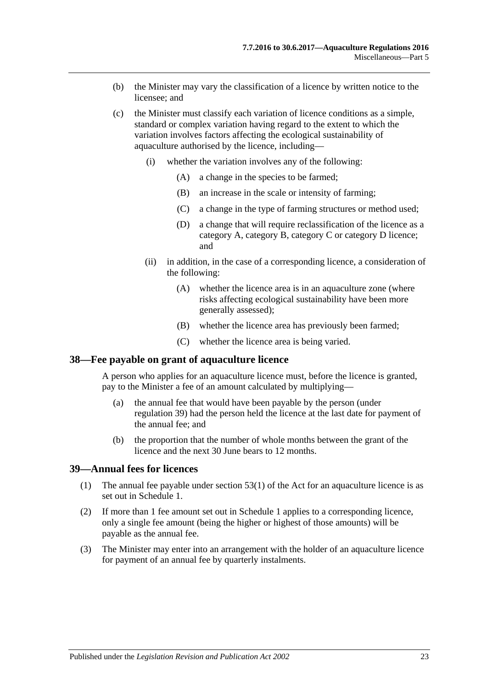- (b) the Minister may vary the classification of a licence by written notice to the licensee; and
- (c) the Minister must classify each variation of licence conditions as a simple, standard or complex variation having regard to the extent to which the variation involves factors affecting the ecological sustainability of aquaculture authorised by the licence, including—
	- (i) whether the variation involves any of the following:
		- (A) a change in the species to be farmed;
		- (B) an increase in the scale or intensity of farming;
		- (C) a change in the type of farming structures or method used;
		- (D) a change that will require reclassification of the licence as a category A, category B, category C or category D licence; and
	- (ii) in addition, in the case of a corresponding licence, a consideration of the following:
		- (A) whether the licence area is in an aquaculture zone (where risks affecting ecological sustainability have been more generally assessed);
		- (B) whether the licence area has previously been farmed;
		- (C) whether the licence area is being varied.

#### <span id="page-22-0"></span>**38—Fee payable on grant of aquaculture licence**

A person who applies for an aquaculture licence must, before the licence is granted, pay to the Minister a fee of an amount calculated by multiplying—

- (a) the annual fee that would have been payable by the person (under [regulation](#page-22-1) 39) had the person held the licence at the last date for payment of the annual fee; and
- (b) the proportion that the number of whole months between the grant of the licence and the next 30 June bears to 12 months.

#### <span id="page-22-1"></span>**39—Annual fees for licences**

- (1) The annual fee payable under section 53(1) of the Act for an aquaculture licence is as set out in [Schedule](#page-24-0) 1.
- (2) If more than 1 fee amount set out in [Schedule](#page-24-0) 1 applies to a corresponding licence, only a single fee amount (being the higher or highest of those amounts) will be payable as the annual fee.
- (3) The Minister may enter into an arrangement with the holder of an aquaculture licence for payment of an annual fee by quarterly instalments.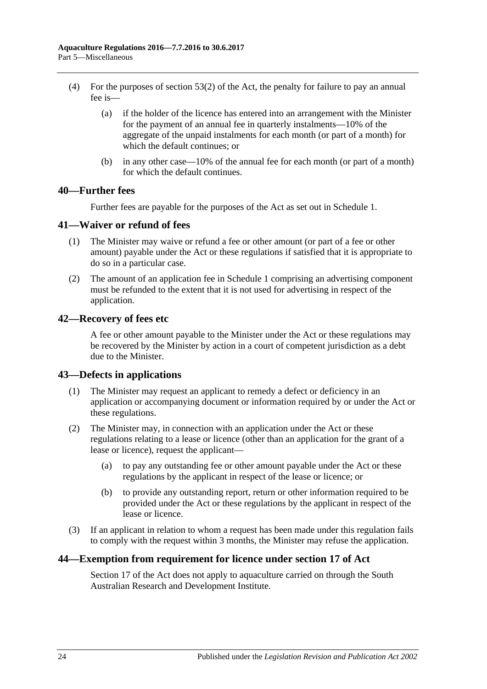- (4) For the purposes of section 53(2) of the Act, the penalty for failure to pay an annual fee is—
	- (a) if the holder of the licence has entered into an arrangement with the Minister for the payment of an annual fee in quarterly instalments—10% of the aggregate of the unpaid instalments for each month (or part of a month) for which the default continues; or
	- (b) in any other case—10% of the annual fee for each month (or part of a month) for which the default continues.

#### <span id="page-23-0"></span>**40—Further fees**

Further fees are payable for the purposes of the Act as set out in [Schedule](#page-24-0) 1.

#### <span id="page-23-1"></span>**41—Waiver or refund of fees**

- (1) The Minister may waive or refund a fee or other amount (or part of a fee or other amount) payable under the Act or these regulations if satisfied that it is appropriate to do so in a particular case.
- (2) The amount of an application fee in [Schedule](#page-24-0) 1 comprising an advertising component must be refunded to the extent that it is not used for advertising in respect of the application.

#### <span id="page-23-2"></span>**42—Recovery of fees etc**

A fee or other amount payable to the Minister under the Act or these regulations may be recovered by the Minister by action in a court of competent jurisdiction as a debt due to the Minister.

#### <span id="page-23-3"></span>**43—Defects in applications**

- (1) The Minister may request an applicant to remedy a defect or deficiency in an application or accompanying document or information required by or under the Act or these regulations.
- (2) The Minister may, in connection with an application under the Act or these regulations relating to a lease or licence (other than an application for the grant of a lease or licence), request the applicant—
	- (a) to pay any outstanding fee or other amount payable under the Act or these regulations by the applicant in respect of the lease or licence; or
	- (b) to provide any outstanding report, return or other information required to be provided under the Act or these regulations by the applicant in respect of the lease or licence.
- (3) If an applicant in relation to whom a request has been made under this regulation fails to comply with the request within 3 months, the Minister may refuse the application.

#### <span id="page-23-4"></span>**44—Exemption from requirement for licence under section 17 of Act**

Section 17 of the Act does not apply to aquaculture carried on through the South Australian Research and Development Institute.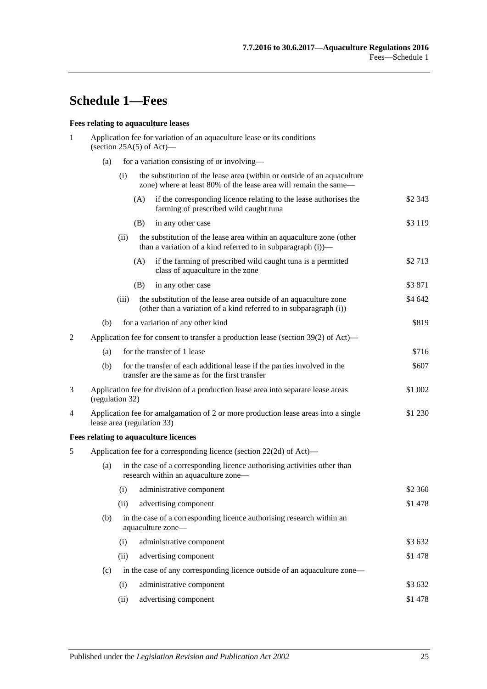# <span id="page-24-0"></span>**Schedule 1—Fees**

#### **Fees relating to aquaculture leases**

| 1 | Application fee for variation of an aquaculture lease or its conditions<br>(section $25A(5)$ of Act)—                   |                                                                                                                             |                                                                                                                                             |                                                                                                                                         |          |  |  |
|---|-------------------------------------------------------------------------------------------------------------------------|-----------------------------------------------------------------------------------------------------------------------------|---------------------------------------------------------------------------------------------------------------------------------------------|-----------------------------------------------------------------------------------------------------------------------------------------|----------|--|--|
|   | (a)                                                                                                                     |                                                                                                                             |                                                                                                                                             | for a variation consisting of or involving—                                                                                             |          |  |  |
|   |                                                                                                                         | (i)                                                                                                                         | the substitution of the lease area (within or outside of an aquaculture<br>zone) where at least 80% of the lease area will remain the same— |                                                                                                                                         |          |  |  |
|   |                                                                                                                         |                                                                                                                             | (A)                                                                                                                                         | if the corresponding licence relating to the lease authorises the<br>farming of prescribed wild caught tuna                             | \$2 343  |  |  |
|   |                                                                                                                         |                                                                                                                             | (B)                                                                                                                                         | in any other case                                                                                                                       | \$3 1 19 |  |  |
|   |                                                                                                                         | (ii)                                                                                                                        |                                                                                                                                             | the substitution of the lease area within an aquaculture zone (other<br>than a variation of a kind referred to in subparagraph $(i)$ )— |          |  |  |
|   |                                                                                                                         |                                                                                                                             | (A)                                                                                                                                         | if the farming of prescribed wild caught tuna is a permitted<br>class of aquaculture in the zone                                        | \$2713   |  |  |
|   |                                                                                                                         |                                                                                                                             | (B)                                                                                                                                         | in any other case                                                                                                                       | \$3871   |  |  |
|   |                                                                                                                         | (iii)                                                                                                                       |                                                                                                                                             | the substitution of the lease area outside of an aquaculture zone<br>(other than a variation of a kind referred to in subparagraph (i)) | \$4 642  |  |  |
|   | (b)                                                                                                                     |                                                                                                                             |                                                                                                                                             | for a variation of any other kind                                                                                                       | \$819    |  |  |
| 2 | Application fee for consent to transfer a production lease (section 39(2) of Act)—                                      |                                                                                                                             |                                                                                                                                             |                                                                                                                                         |          |  |  |
|   | (a)                                                                                                                     |                                                                                                                             | for the transfer of 1 lease                                                                                                                 |                                                                                                                                         |          |  |  |
|   | (b)                                                                                                                     |                                                                                                                             |                                                                                                                                             | for the transfer of each additional lease if the parties involved in the<br>transfer are the same as for the first transfer             | \$607    |  |  |
| 3 |                                                                                                                         | \$1 002<br>Application fee for division of a production lease area into separate lease areas<br>(regulation 32)             |                                                                                                                                             |                                                                                                                                         |          |  |  |
| 4 |                                                                                                                         | Application fee for amalgamation of 2 or more production lease areas into a single<br>\$1 230<br>lease area (regulation 33) |                                                                                                                                             |                                                                                                                                         |          |  |  |
|   |                                                                                                                         |                                                                                                                             | Fees relating to aquaculture licences                                                                                                       |                                                                                                                                         |          |  |  |
| 5 | Application fee for a corresponding licence (section 22(2d) of Act)—                                                    |                                                                                                                             |                                                                                                                                             |                                                                                                                                         |          |  |  |
|   | in the case of a corresponding licence authorising activities other than<br>(a)<br>research within an aquaculture zone- |                                                                                                                             |                                                                                                                                             |                                                                                                                                         |          |  |  |
|   |                                                                                                                         | (i)                                                                                                                         |                                                                                                                                             | administrative component                                                                                                                | \$2 360  |  |  |
|   |                                                                                                                         | (ii)                                                                                                                        |                                                                                                                                             | advertising component                                                                                                                   | \$1478   |  |  |
|   | (b)                                                                                                                     |                                                                                                                             | aquaculture zone-                                                                                                                           | in the case of a corresponding licence authorising research within an                                                                   |          |  |  |
|   |                                                                                                                         | (i)                                                                                                                         |                                                                                                                                             | administrative component                                                                                                                | \$3 632  |  |  |
|   |                                                                                                                         | (ii)                                                                                                                        |                                                                                                                                             | advertising component                                                                                                                   | \$1478   |  |  |
|   | (c)                                                                                                                     |                                                                                                                             | in the case of any corresponding licence outside of an aquaculture zone—                                                                    |                                                                                                                                         |          |  |  |
|   |                                                                                                                         | (i)                                                                                                                         |                                                                                                                                             | administrative component                                                                                                                | \$3 632  |  |  |
|   |                                                                                                                         | (ii)                                                                                                                        |                                                                                                                                             | advertising component                                                                                                                   | \$1478   |  |  |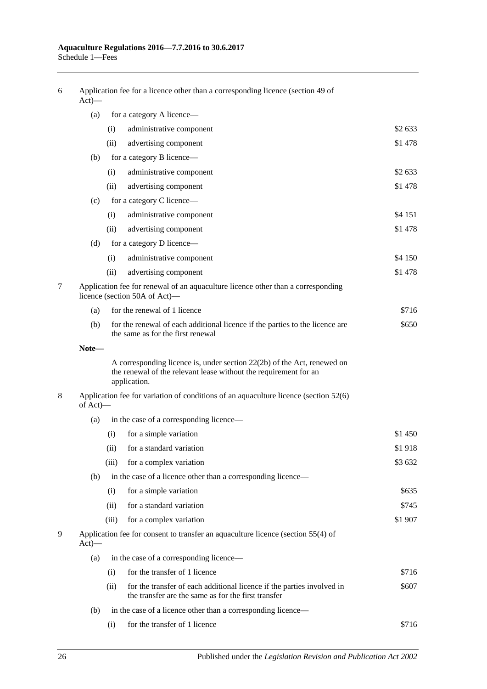| $Act)$ — |                                                                                                                   | Application fee for a licence other than a corresponding licence (section 49 of                                                                               |         |
|----------|-------------------------------------------------------------------------------------------------------------------|---------------------------------------------------------------------------------------------------------------------------------------------------------------|---------|
| (a)      |                                                                                                                   | for a category A licence—                                                                                                                                     |         |
|          | (i)                                                                                                               | administrative component                                                                                                                                      | \$2 633 |
|          | (ii)                                                                                                              | advertising component                                                                                                                                         | \$1478  |
| (b)      |                                                                                                                   | for a category B licence—                                                                                                                                     |         |
|          | (i)                                                                                                               | administrative component                                                                                                                                      | \$2633  |
|          | (ii)                                                                                                              | advertising component                                                                                                                                         | \$1478  |
| (c)      | for a category C licence—                                                                                         |                                                                                                                                                               |         |
|          | (i)                                                                                                               | administrative component                                                                                                                                      | \$4 151 |
|          | (ii)                                                                                                              | advertising component                                                                                                                                         | \$1478  |
| (d)      |                                                                                                                   | for a category D licence—                                                                                                                                     |         |
|          | (i)                                                                                                               | administrative component                                                                                                                                      | \$4 150 |
|          | (ii)                                                                                                              | advertising component                                                                                                                                         | \$1478  |
|          |                                                                                                                   | Application fee for renewal of an aquaculture licence other than a corresponding<br>licence (section 50A of Act)—                                             |         |
| (a)      |                                                                                                                   | for the renewal of 1 licence                                                                                                                                  | \$716   |
| (b)      | for the renewal of each additional licence if the parties to the licence are<br>the same as for the first renewal |                                                                                                                                                               | \$650   |
| Note-    |                                                                                                                   |                                                                                                                                                               |         |
|          |                                                                                                                   | A corresponding licence is, under section $22(2b)$ of the Act, renewed on<br>the renewal of the relevant lease without the requirement for an<br>application. |         |
| of Act)- |                                                                                                                   | Application fee for variation of conditions of an aquaculture licence (section 52(6)                                                                          |         |
| (a)      |                                                                                                                   | in the case of a corresponding licence—                                                                                                                       |         |
|          | (i)                                                                                                               | for a simple variation                                                                                                                                        | \$1 450 |
|          | (ii)                                                                                                              | for a standard variation                                                                                                                                      | \$1918  |
|          | (iii)                                                                                                             | for a complex variation                                                                                                                                       | \$3632  |
| (b)      | in the case of a licence other than a corresponding licence—                                                      |                                                                                                                                                               |         |
|          | (i)                                                                                                               | for a simple variation                                                                                                                                        | \$635   |
|          | (ii)                                                                                                              | for a standard variation                                                                                                                                      | \$745   |
|          | (iii)                                                                                                             | for a complex variation                                                                                                                                       | \$1907  |
| $Act)$ — |                                                                                                                   | Application fee for consent to transfer an aquaculture licence (section 55(4) of                                                                              |         |
| (a)      |                                                                                                                   | in the case of a corresponding licence-                                                                                                                       |         |
|          | (i)                                                                                                               | for the transfer of 1 licence                                                                                                                                 | \$716   |
|          | (ii)                                                                                                              | for the transfer of each additional licence if the parties involved in<br>the transfer are the same as for the first transfer                                 | \$607   |
| (b)      |                                                                                                                   | in the case of a licence other than a corresponding licence—                                                                                                  |         |
|          | (i)                                                                                                               | for the transfer of 1 licence                                                                                                                                 | \$716   |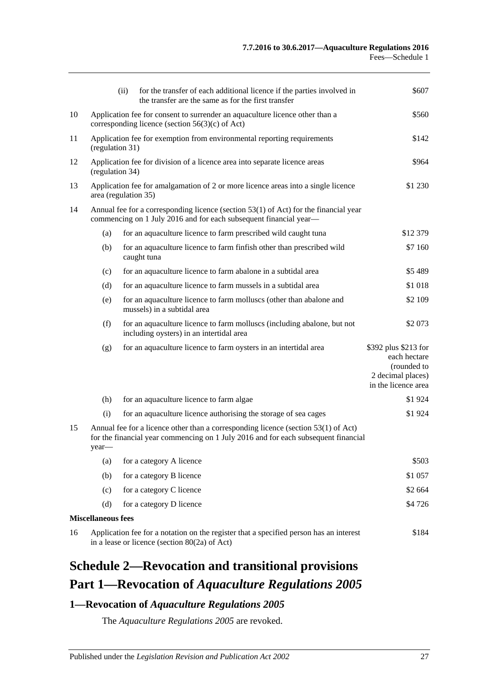|    |                                                                                                                                                                                     | (ii)<br>for the transfer of each additional licence if the parties involved in<br>the transfer are the same as for the first transfer | \$607                                                                                           |  |  |  |
|----|-------------------------------------------------------------------------------------------------------------------------------------------------------------------------------------|---------------------------------------------------------------------------------------------------------------------------------------|-------------------------------------------------------------------------------------------------|--|--|--|
| 10 | Application fee for consent to surrender an aquaculture licence other than a<br>corresponding licence (section $56(3)(c)$ of Act)                                                   | \$560                                                                                                                                 |                                                                                                 |  |  |  |
| 11 | Application fee for exemption from environmental reporting requirements<br>\$142<br>(regulation 31)                                                                                 |                                                                                                                                       |                                                                                                 |  |  |  |
| 12 | \$964<br>Application fee for division of a licence area into separate licence areas<br>(regulation 34)                                                                              |                                                                                                                                       |                                                                                                 |  |  |  |
| 13 | \$1 230<br>Application fee for amalgamation of 2 or more licence areas into a single licence<br>area (regulation 35)                                                                |                                                                                                                                       |                                                                                                 |  |  |  |
| 14 | Annual fee for a corresponding licence (section 53(1) of Act) for the financial year<br>commencing on 1 July 2016 and for each subsequent financial year-                           |                                                                                                                                       |                                                                                                 |  |  |  |
|    | (a)                                                                                                                                                                                 | for an aquaculture licence to farm prescribed wild caught tuna                                                                        | \$12 379                                                                                        |  |  |  |
|    | (b)                                                                                                                                                                                 | for an aquaculture licence to farm finfish other than prescribed wild<br>caught tuna                                                  | \$7 160                                                                                         |  |  |  |
|    | (c)                                                                                                                                                                                 | for an aquaculture licence to farm abalone in a subtidal area                                                                         | \$5489                                                                                          |  |  |  |
|    | (d)                                                                                                                                                                                 | for an aquaculture licence to farm mussels in a subtidal area                                                                         | \$1 018                                                                                         |  |  |  |
|    | (e)                                                                                                                                                                                 | for an aquaculture licence to farm molluscs (other than abalone and<br>mussels) in a subtidal area                                    | \$2 109                                                                                         |  |  |  |
|    | (f)                                                                                                                                                                                 | for an aquaculture licence to farm molluscs (including abalone, but not<br>including oysters) in an intertidal area                   | \$2 073                                                                                         |  |  |  |
|    | (g)                                                                                                                                                                                 | for an aquaculture licence to farm oysters in an intertidal area                                                                      | \$392 plus \$213 for<br>each hectare<br>(rounded to<br>2 decimal places)<br>in the licence area |  |  |  |
|    | (h)                                                                                                                                                                                 | for an aquaculture licence to farm algae                                                                                              | \$1924                                                                                          |  |  |  |
|    | (i)                                                                                                                                                                                 | for an aquaculture licence authorising the storage of sea cages                                                                       | \$1924                                                                                          |  |  |  |
| 15 | Annual fee for a licence other than a corresponding licence (section $53(1)$ of Act)<br>for the financial year commencing on 1 July 2016 and for each subsequent financial<br>year— |                                                                                                                                       |                                                                                                 |  |  |  |
|    | (a)                                                                                                                                                                                 | for a category A licence                                                                                                              | \$503                                                                                           |  |  |  |
|    | (b)                                                                                                                                                                                 | for a category B licence                                                                                                              | \$1 057                                                                                         |  |  |  |
|    | (c)                                                                                                                                                                                 | for a category C licence                                                                                                              | \$2 664                                                                                         |  |  |  |
|    | (d)                                                                                                                                                                                 | for a category D licence                                                                                                              | \$4726                                                                                          |  |  |  |
|    | <b>Miscellaneous fees</b>                                                                                                                                                           |                                                                                                                                       |                                                                                                 |  |  |  |
| 16 | Application fee for a notation on the register that a specified person has an interest<br>\$184<br>in a lease or licence (section $80(2a)$ of Act)                                  |                                                                                                                                       |                                                                                                 |  |  |  |

# <span id="page-26-0"></span>**Schedule 2—Revocation and transitional provisions Part 1—Revocation of** *Aquaculture Regulations 2005*

## <span id="page-26-1"></span>**1—Revocation of** *Aquaculture Regulations 2005*

The *[Aquaculture Regulations](http://www.legislation.sa.gov.au/index.aspx?action=legref&type=subordleg&legtitle=Aquaculture%20Regulations%202005) 2005* are revoked.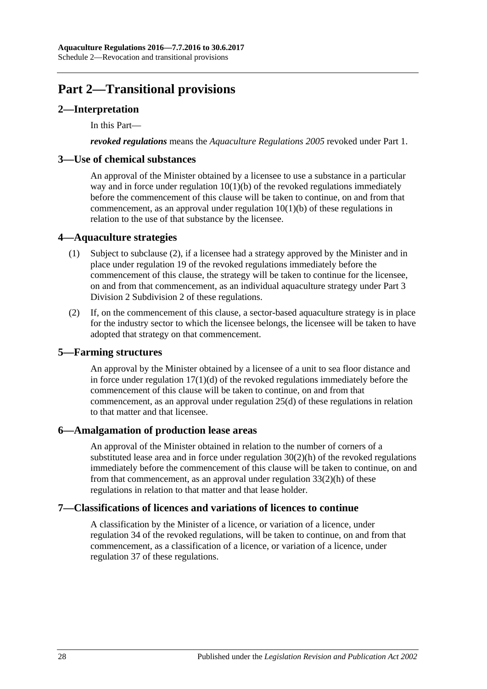# **Part 2—Transitional provisions**

## <span id="page-27-0"></span>**2—Interpretation**

In this Part—

*revoked regulations* means the *[Aquaculture Regulations](http://www.legislation.sa.gov.au/index.aspx?action=legref&type=subordleg&legtitle=Aquaculture%20Regulations%202005) 2005* revoked under Part 1.

#### <span id="page-27-1"></span>**3—Use of chemical substances**

An approval of the Minister obtained by a licensee to use a substance in a particular way and in force under regulation  $10(1)(b)$  of the revoked regulations immediately before the commencement of this clause will be taken to continue, on and from that commencement, as an approval under [regulation](#page-5-6) 10(1)(b) of these regulations in relation to the use of that substance by the licensee.

#### <span id="page-27-2"></span>**4—Aquaculture strategies**

- (1) Subject to [subclause](#page-27-6) (2), if a licensee had a strategy approved by the Minister and in place under regulation 19 of the revoked regulations immediately before the commencement of this clause, the strategy will be taken to continue for the licensee, on and from that commencement, as an individual aquaculture strategy under [Part](#page-10-0) 3 Division [2 Subdivision](#page-10-0) 2 of these regulations.
- <span id="page-27-6"></span>(2) If, on the commencement of this clause, a sector-based aquaculture strategy is in place for the industry sector to which the licensee belongs, the licensee will be taken to have adopted that strategy on that commencement.

#### <span id="page-27-3"></span>**5—Farming structures**

An approval by the Minister obtained by a licensee of a unit to sea floor distance and in force under regulation  $17(1)(d)$  of the revoked regulations immediately before the commencement of this clause will be taken to continue, on and from that commencement, as an approval under [regulation](#page-14-4) 25(d) of these regulations in relation to that matter and that licensee.

#### <span id="page-27-4"></span>**6—Amalgamation of production lease areas**

An approval of the Minister obtained in relation to the number of corners of a substituted lease area and in force under regulation  $30(2)(h)$  of the revoked regulations immediately before the commencement of this clause will be taken to continue, on and from that commencement, as an approval under [regulation](#page-19-1) 33(2)(h) of these regulations in relation to that matter and that lease holder.

#### <span id="page-27-5"></span>**7—Classifications of licences and variations of licences to continue**

A classification by the Minister of a licence, or variation of a licence, under regulation 34 of the revoked regulations, will be taken to continue, on and from that commencement, as a classification of a licence, or variation of a licence, under [regulation](#page-21-2) 37 of these regulations.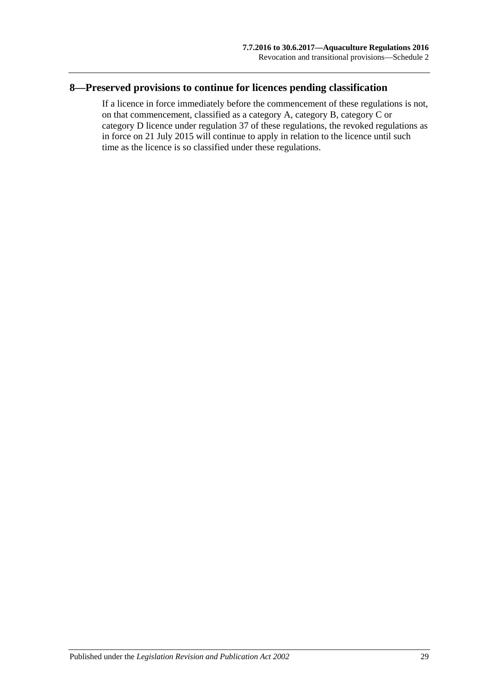## <span id="page-28-0"></span>**8—Preserved provisions to continue for licences pending classification**

If a licence in force immediately before the commencement of these regulations is not, on that commencement, classified as a category A, category B, category C or category D licence under [regulation](#page-21-2) 37 of these regulations, the revoked regulations as in force on 21 July 2015 will continue to apply in relation to the licence until such time as the licence is so classified under these regulations.